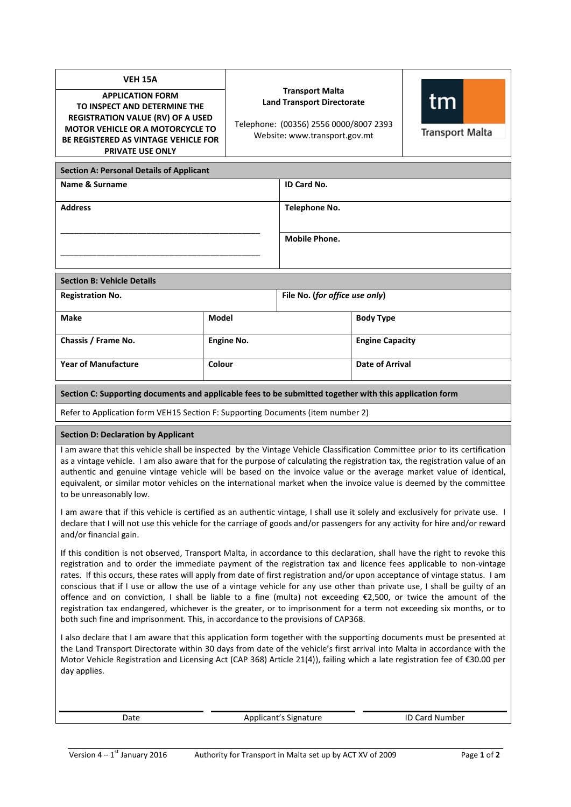| <b>VEH 15A</b><br><b>APPLICATION FORM</b><br>TO INSPECT AND DETERMINE THE<br><b>REGISTRATION VALUE (RV) OF A USED</b><br><b>MOTOR VEHICLE OR A MOTORCYCLE TO</b><br><b>BE REGISTERED AS VINTAGE VEHICLE FOR</b><br><b>PRIVATE USE ONLY</b>                                                                                                                                                                                                                                                                                                                                                                                                                                                                                                                                                                                                    |              | <b>Transport Malta</b><br><b>Land Transport Directorate</b><br>Telephone: (00356) 2556 0000/8007 2393<br>Website: www.transport.gov.mt |                        | tm<br><b>Transport Malta</b> |  |  |  |
|-----------------------------------------------------------------------------------------------------------------------------------------------------------------------------------------------------------------------------------------------------------------------------------------------------------------------------------------------------------------------------------------------------------------------------------------------------------------------------------------------------------------------------------------------------------------------------------------------------------------------------------------------------------------------------------------------------------------------------------------------------------------------------------------------------------------------------------------------|--------------|----------------------------------------------------------------------------------------------------------------------------------------|------------------------|------------------------------|--|--|--|
| <b>Section A: Personal Details of Applicant</b>                                                                                                                                                                                                                                                                                                                                                                                                                                                                                                                                                                                                                                                                                                                                                                                               |              |                                                                                                                                        |                        |                              |  |  |  |
| Name & Surname                                                                                                                                                                                                                                                                                                                                                                                                                                                                                                                                                                                                                                                                                                                                                                                                                                |              | ID Card No.                                                                                                                            |                        |                              |  |  |  |
| <b>Address</b>                                                                                                                                                                                                                                                                                                                                                                                                                                                                                                                                                                                                                                                                                                                                                                                                                                |              | <b>Telephone No.</b>                                                                                                                   |                        |                              |  |  |  |
|                                                                                                                                                                                                                                                                                                                                                                                                                                                                                                                                                                                                                                                                                                                                                                                                                                               |              |                                                                                                                                        |                        |                              |  |  |  |
|                                                                                                                                                                                                                                                                                                                                                                                                                                                                                                                                                                                                                                                                                                                                                                                                                                               |              | <b>Mobile Phone.</b>                                                                                                                   |                        |                              |  |  |  |
|                                                                                                                                                                                                                                                                                                                                                                                                                                                                                                                                                                                                                                                                                                                                                                                                                                               |              |                                                                                                                                        |                        |                              |  |  |  |
| <b>Section B: Vehicle Details</b>                                                                                                                                                                                                                                                                                                                                                                                                                                                                                                                                                                                                                                                                                                                                                                                                             |              |                                                                                                                                        |                        |                              |  |  |  |
| <b>Registration No.</b>                                                                                                                                                                                                                                                                                                                                                                                                                                                                                                                                                                                                                                                                                                                                                                                                                       |              | File No. (for office use only)                                                                                                         |                        |                              |  |  |  |
| <b>Make</b>                                                                                                                                                                                                                                                                                                                                                                                                                                                                                                                                                                                                                                                                                                                                                                                                                                   | <b>Model</b> |                                                                                                                                        | <b>Body Type</b>       |                              |  |  |  |
| Chassis / Frame No.                                                                                                                                                                                                                                                                                                                                                                                                                                                                                                                                                                                                                                                                                                                                                                                                                           | Engine No.   |                                                                                                                                        | <b>Engine Capacity</b> |                              |  |  |  |
| <b>Year of Manufacture</b>                                                                                                                                                                                                                                                                                                                                                                                                                                                                                                                                                                                                                                                                                                                                                                                                                    | Colour       |                                                                                                                                        | <b>Date of Arrival</b> |                              |  |  |  |
| Section C: Supporting documents and applicable fees to be submitted together with this application form                                                                                                                                                                                                                                                                                                                                                                                                                                                                                                                                                                                                                                                                                                                                       |              |                                                                                                                                        |                        |                              |  |  |  |
| Refer to Application form VEH15 Section F: Supporting Documents (item number 2)                                                                                                                                                                                                                                                                                                                                                                                                                                                                                                                                                                                                                                                                                                                                                               |              |                                                                                                                                        |                        |                              |  |  |  |
| <b>Section D: Declaration by Applicant</b>                                                                                                                                                                                                                                                                                                                                                                                                                                                                                                                                                                                                                                                                                                                                                                                                    |              |                                                                                                                                        |                        |                              |  |  |  |
| I am aware that this vehicle shall be inspected by the Vintage Vehicle Classification Committee prior to its certification<br>as a vintage vehicle. I am also aware that for the purpose of calculating the registration tax, the registration value of an<br>authentic and genuine vintage vehicle will be based on the invoice value or the average market value of identical,<br>equivalent, or similar motor vehicles on the international market when the invoice value is deemed by the committee<br>to be unreasonably low.                                                                                                                                                                                                                                                                                                            |              |                                                                                                                                        |                        |                              |  |  |  |
| I am aware that if this vehicle is certified as an authentic vintage, I shall use it solely and exclusively for private use. I<br>declare that I will not use this vehicle for the carriage of goods and/or passengers for any activity for hire and/or reward<br>and/or financial gain.                                                                                                                                                                                                                                                                                                                                                                                                                                                                                                                                                      |              |                                                                                                                                        |                        |                              |  |  |  |
| If this condition is not observed, Transport Malta, in accordance to this declaration, shall have the right to revoke this<br>registration and to order the immediate payment of the registration tax and licence fees applicable to non-vintage<br>rates. If this occurs, these rates will apply from date of first registration and/or upon acceptance of vintage status. I am<br>conscious that if I use or allow the use of a vintage vehicle for any use other than private use, I shall be guilty of an<br>offence and on conviction, I shall be liable to a fine (multa) not exceeding €2,500, or twice the amount of the<br>registration tax endangered, whichever is the greater, or to imprisonment for a term not exceeding six months, or to<br>both such fine and imprisonment. This, in accordance to the provisions of CAP368. |              |                                                                                                                                        |                        |                              |  |  |  |
| I also declare that I am aware that this application form together with the supporting documents must be presented at                                                                                                                                                                                                                                                                                                                                                                                                                                                                                                                                                                                                                                                                                                                         |              |                                                                                                                                        |                        |                              |  |  |  |

the Land Transport Directorate within 30 days from date of the vehicle's first arrival into Malta in accordance with the Motor Vehicle Registration and Licensing Act (CAP 368) Article 21(4)), failing which a late registration fee of €30.00 per day applies.

Date **Applicant's Signature** ID Card Number